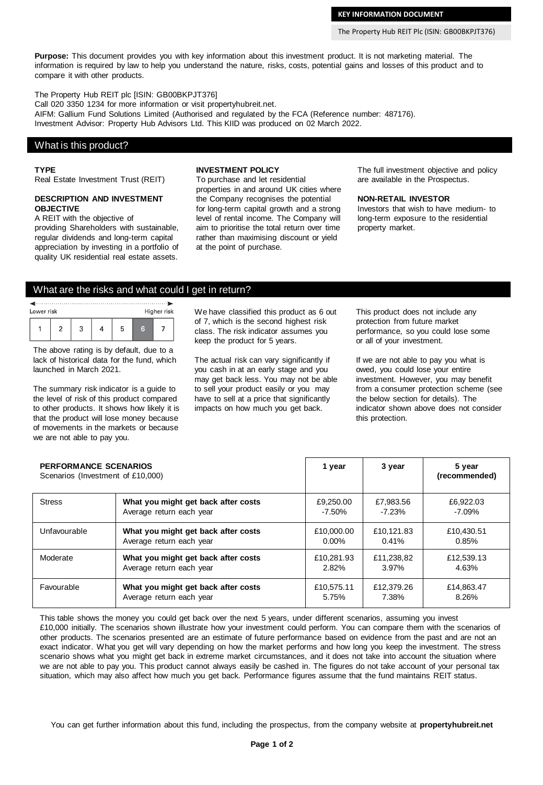**Purpose:** This document provides you with key information about this investment product. It is not marketing material. The information is required by law to help you understand the nature, risks, costs, potential gains and losses of this product and to compare it with other products.

The Property Hub REIT plc [ISIN: GB00BKPJT376] Call 020 3350 1234 for more information or visit propertyhubreit.net. AIFM: Gallium Fund Solutions Limited (Authorised and regulated by the FCA (Reference number: 487176). Investment Advisor: Property Hub Advisors Ltd. This KIID was produced on 02 March 2022.

### What is this product?

#### **TYPE**

Real Estate Investment Trust (REIT)

#### **DESCRIPTION AND INVESTMENT OBJECTIVE**

A REIT with the objective of providing Shareholders with sustainable, regular dividends and long-term capital appreciation by investing in a portfolio of quality UK residential real estate assets.

#### **INVESTMENT POLICY**

To purchase and let residential properties in and around UK cities where the Company recognises the potential for long-term capital growth and a strong level of rental income. The Company will aim to prioritise the total return over time rather than maximising discount or yield at the point of purchase.

The full investment objective and policy are available in the Prospectus.

#### **NON-RETAIL INVESTOR**

Investors that wish to have medium- to long-term exposure to the residential property market.

## What are the risks and what could I get in return?



The above rating is by default, due to a lack of historical data for the fund, which launched in March 2021.

The summary risk indicator is a guide to the level of risk of this product compared to other products. It shows how likely it is that the product will lose money because of movements in the markets or because we are not able to pay you.

We have classified this product as 6 out of 7, which is the second highest risk class. The risk indicator assumes you keep the product for 5 years.

The actual risk can vary significantly if you cash in at an early stage and you may get back less. You may not be able to sell your product easily or you may have to sell at a price that significantly impacts on how much you get back.

This product does not include any protection from future market performance, so you could lose some or all of your investment.

If we are not able to pay you what is owed, you could lose your entire investment. However, you may benefit from a consumer protection scheme (see the below section for details). The indicator shown above does not consider this protection.

| <b>PERFORMANCE SCENARIOS</b><br>Scenarios (Investment of £10,000) |                                     | 1 year     | 3 year     | 5 year<br>(recommended) |
|-------------------------------------------------------------------|-------------------------------------|------------|------------|-------------------------|
| <b>Stress</b>                                                     | What you might get back after costs | £9.250.00  | £7,983.56  | £6.922.03               |
|                                                                   | Average return each year            | $-7.50\%$  | $-7.23%$   | $-7.09\%$               |
| Unfavourable                                                      | What you might get back after costs | £10,000,00 | £10.121.83 | £10.430.51              |
|                                                                   | Average return each year            | $0.00\%$   | 0.41%      | 0.85%                   |
| Moderate                                                          | What you might get back after costs | £10.281.93 | £11.238.82 | £12,539.13              |
|                                                                   | Average return each year            | 2.82%      | $3.97\%$   | 4.63%                   |
| Favourable                                                        | What you might get back after costs | £10,575.11 | £12,379.26 | £14,863.47              |
|                                                                   | Average return each year            | 5.75%      | 7.38%      | 8.26%                   |

This table shows the money you could get back over the next 5 years, under different scenarios, assuming you invest £10,000 initially. The scenarios shown illustrate how your investment could perform. You can compare them with the scenarios of other products. The scenarios presented are an estimate of future performance based on evidence from the past and are not an exact indicator. What you get will vary depending on how the market performs and how long you keep the investment. The stress scenario shows what you might get back in extreme market circumstances, and it does not take into account the situation where we are not able to pay you. This product cannot always easily be cashed in. The figures do not take account of your personal tax situation, which may also affect how much you get back. Performance figures assume that the fund maintains REIT status.

You can get further information about this fund, including the prospectus, from the company website at **propertyhubreit.net**